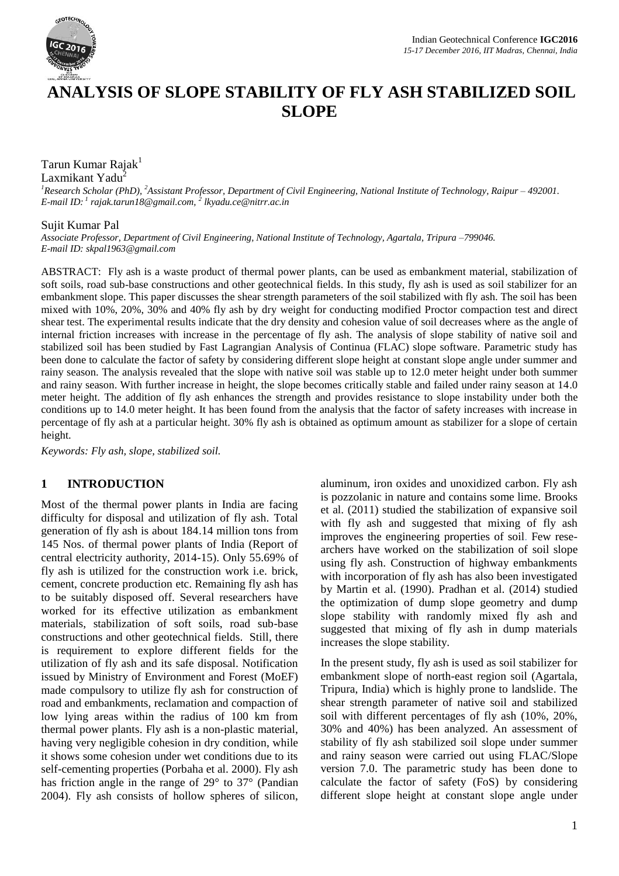

# **ANALYSIS OF SLOPE STABILITY OF FLY ASH STABILIZED SOIL SLOPE**

# Tarun Kumar Rajak<sup>1</sup>

Laxmikant Yadu<sup>4</sup>

*<sup>1</sup>Research Scholar (PhD), <sup>2</sup>Assistant Professor, Department of Civil Engineering, National Institute of Technology, Raipur – 492001. E-mail ID: 1 rajak.tarun18@gmail.com, 2 lkyadu.ce@nitrr.ac.in*

## Sujit Kumar Pal

*Associate Professor, Department of Civil Engineering, National Institute of Technology, Agartala, Tripura –799046. E-mail ID: skpal1963@gmail.com*

ABSTRACT: Fly ash is a waste product of thermal power plants, can be used as embankment material, stabilization of soft soils, road sub-base constructions and other geotechnical fields. In this study, fly ash is used as soil stabilizer for an embankment slope. This paper discusses the shear strength parameters of the soil stabilized with fly ash. The soil has been mixed with 10%, 20%, 30% and 40% fly ash by dry weight for conducting modified Proctor compaction test and direct shear test. The experimental results indicate that the dry density and cohesion value of soil decreases where as the angle of internal friction increases with increase in the percentage of fly ash. The analysis of slope stability of native soil and stabilized soil has been studied by Fast Lagrangian Analysis of Continua (FLAC) slope software. Parametric study has been done to calculate the factor of safety by considering different slope height at constant slope angle under summer and rainy season. The analysis revealed that the slope with native soil was stable up to 12.0 meter height under both summer and rainy season. With further increase in height, the slope becomes critically stable and failed under rainy season at 14.0 meter height. The addition of fly ash enhances the strength and provides resistance to slope instability under both the conditions up to 14.0 meter height. It has been found from the analysis that the factor of safety increases with increase in percentage of fly ash at a particular height. 30% fly ash is obtained as optimum amount as stabilizer for a slope of certain height.

*Keywords: Fly ash, slope, stabilized soil.*

## **1 INTRODUCTION**

Most of the thermal power plants in India are facing difficulty for disposal and utilization of fly ash. Total generation of fly ash is about 184.14 million tons from 145 Nos. of thermal power plants of India (Report of central electricity authority, 2014-15). Only 55.69% of fly ash is utilized for the construction work i.e. brick, cement, concrete production etc. Remaining fly ash has to be suitably disposed off. Several researchers have worked for its effective utilization as embankment materials, stabilization of soft soils, road sub-base constructions and other geotechnical fields. Still, there is requirement to explore different fields for the utilization of fly ash and its safe disposal. Notification issued by Ministry of Environment and Forest (MoEF) made compulsory to utilize fly ash for construction of road and embankments, reclamation and compaction of low lying areas within the radius of 100 km from thermal power plants. Fly ash is a non-plastic material, having very negligible cohesion in dry condition, while it shows some cohesion under wet conditions due to its self-cementing properties (Porbaha et al. 2000). Fly ash has friction angle in the range of 29° to 37° (Pandian 2004). Fly ash consists of hollow spheres of silicon,

aluminum, iron oxides and unoxidized carbon. Fly ash is pozzolanic in nature and contains some lime. Brooks et al. (2011) studied the stabilization of expansive soil with fly ash and suggested that mixing of fly ash improves the engineering properties of soil. Few researchers have worked on the stabilization of soil slope using fly ash. Construction of highway embankments with incorporation of fly ash has also been investigated by Martin et al. (1990). Pradhan et al. (2014) studied the optimization of dump slope geometry and dump slope stability with randomly mixed fly ash and suggested that mixing of fly ash in dump materials increases the slope stability.

In the present study, fly ash is used as soil stabilizer for embankment slope of north-east region soil (Agartala, Tripura, India) which is highly prone to landslide. The shear strength parameter of native soil and stabilized soil with different percentages of fly ash (10%, 20%, 30% and 40%) has been analyzed. An assessment of stability of fly ash stabilized soil slope under summer and rainy season were carried out using FLAC/Slope version 7.0. The parametric study has been done to calculate the factor of safety (FoS) by considering different slope height at constant slope angle under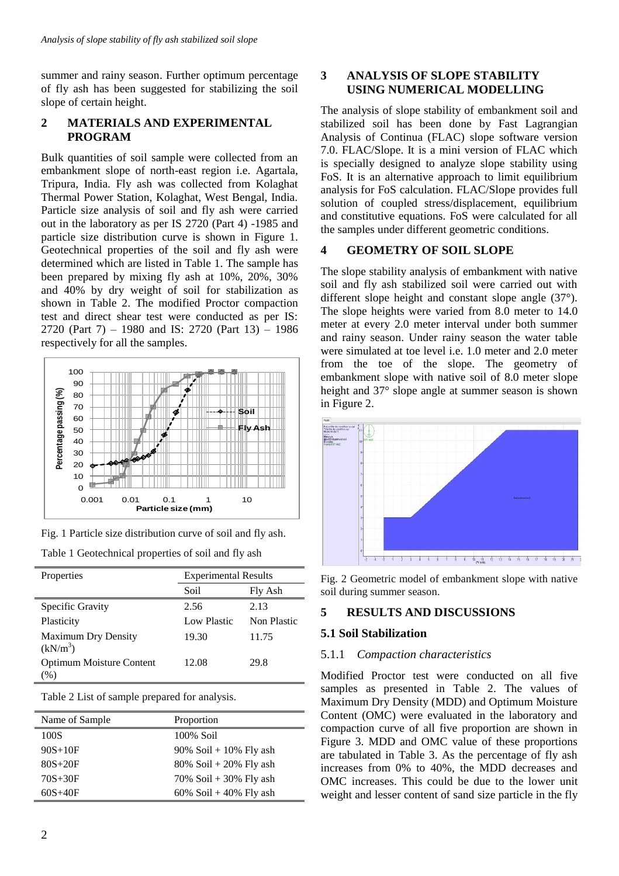summer and rainy season. Further optimum percentage of fly ash has been suggested for stabilizing the soil slope of certain height.

# **2 MATERIALS AND EXPERIMENTAL PROGRAM**

Bulk quantities of soil sample were collected from an embankment slope of north-east region i.e. Agartala, Tripura, India. Fly ash was collected from Kolaghat Thermal Power Station, Kolaghat, West Bengal, India. Particle size analysis of soil and fly ash were carried out in the laboratory as per IS 2720 (Part 4) -1985 and particle size distribution curve is shown in Figure 1. Geotechnical properties of the soil and fly ash were determined which are listed in Table 1. The sample has been prepared by mixing fly ash at 10%, 20%, 30% and 40% by dry weight of soil for stabilization as shown in Table 2. The modified Proctor compaction test and direct shear test were conducted as per IS: 2720 (Part 7) – 1980 and IS: 2720 (Part 13) – 1986 respectively for all the samples.



Fig. 1 Particle size distribution curve of soil and fly ash.

| Properties                                         | <b>Experimental Results</b> |             |
|----------------------------------------------------|-----------------------------|-------------|
|                                                    | Soil                        | Fly Ash     |
| Specific Gravity                                   | 2.56                        | 2.13        |
| Plasticity                                         | Low Plastic                 | Non Plastic |
| <b>Maximum Dry Density</b><br>(kN/m <sup>3</sup> ) | 19.30                       | 11.75       |
| <b>Optimum Moisture Content</b><br>$\mathcal{O}_0$ | 12.08                       | 29.8        |

Table 2 List of sample prepared for analysis.

| Name of Sample | Proportion                |
|----------------|---------------------------|
| 100S           | 100% Soil                 |
| $90S+10F$      | $90\%$ Soil + 10% Fly ash |
| $80S+20F$      | $80\%$ Soil + 20% Fly ash |
| $70S + 30F$    | 70% Soil + 30% Fly ash    |
| $60S + 40F$    | 60% Soil + 40% Fly ash    |

## **3 ANALYSIS OF SLOPE STABILITY USING NUMERICAL MODELLING**

The analysis of slope stability of embankment soil and stabilized soil has been done by Fast Lagrangian Analysis of Continua (FLAC) slope software version 7.0. FLAC/Slope. It is a mini version of FLAC which is specially designed to analyze slope stability using FoS. It is an alternative approach to limit equilibrium analysis for FoS calculation. FLAC/Slope provides full solution of coupled stress/displacement, equilibrium and constitutive equations. FoS were calculated for all the samples under different geometric conditions.

## **4 GEOMETRY OF SOIL SLOPE**

The slope stability analysis of embankment with native soil and fly ash stabilized soil were carried out with different slope height and constant slope angle (37°). The slope heights were varied from 8.0 meter to 14.0 meter at every 2.0 meter interval under both summer and rainy season. Under rainy season the water table were simulated at toe level i.e. 1.0 meter and 2.0 meter from the toe of the slope. The geometry of embankment slope with native soil of 8.0 meter slope height and 37° slope angle at summer season is shown in Figure 2.



Fig. 2 Geometric model of embankment slope with native soil during summer season.

# **5 RESULTS AND DISCUSSIONS**

## **5.1 Soil Stabilization**

### 5.1.1 *Compaction characteristics*

Modified Proctor test were conducted on all five samples as presented in Table 2. The values of Maximum Dry Density (MDD) and Optimum Moisture Content (OMC) were evaluated in the laboratory and compaction curve of all five proportion are shown in Figure 3. MDD and OMC value of these proportions are tabulated in Table 3. As the percentage of fly ash increases from 0% to 40%, the MDD decreases and OMC increases. This could be due to the lower unit weight and lesser content of sand size particle in the fly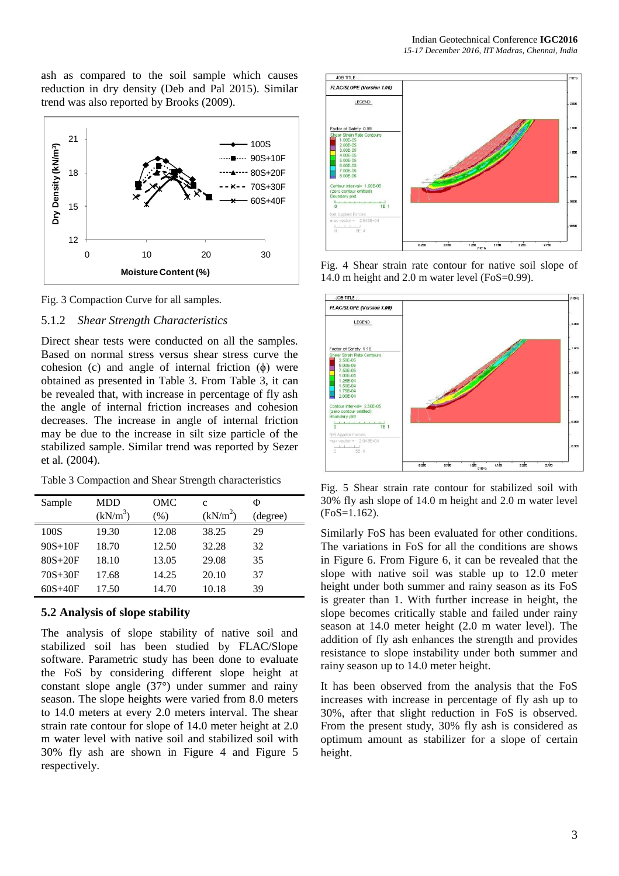ash as compared to the soil sample which causes reduction in dry density (Deb and Pal 2015). Similar trend was also reported by Brooks (2009).



Fig. 3 Compaction Curve for all samples.

## 5.1.2 *Shear Strength Characteristics*

Direct shear tests were conducted on all the samples. Based on normal stress versus shear stress curve the cohesion (c) and angle of internal friction  $(\phi)$  were obtained as presented in Table 3. From Table 3, it can be revealed that, with increase in percentage of fly ash the angle of internal friction increases and cohesion decreases. The increase in angle of internal friction may be due to the increase in silt size particle of the stabilized sample. Similar trend was reported by Sezer et al*.* (2004).

Table 3 Compaction and Shear Strength characteristics

| Sample      | <b>MDD</b>           | OMC   | c                    | Φ        |
|-------------|----------------------|-------|----------------------|----------|
|             | (kN/m <sup>3</sup> ) | (% )  | (kN/m <sup>2</sup> ) | (degree) |
| 100S        | 19.30                | 12.08 | 38.25                | 29       |
| $90S+10F$   | 18.70                | 12.50 | 32.28                | 32       |
| $80S + 20F$ | 18.10                | 13.05 | 29.08                | 35       |
| $70S + 30F$ | 17.68                | 14.25 | 20.10                | 37       |
| $60S + 40F$ | 17.50                | 14.70 | 10.18                | 39       |

## **5.2 Analysis of slope stability**

The analysis of slope stability of native soil and stabilized soil has been studied by FLAC/Slope software. Parametric study has been done to evaluate the FoS by considering different slope height at constant slope angle (37°) under summer and rainy season. The slope heights were varied from 8.0 meters to 14.0 meters at every 2.0 meters interval. The shear strain rate contour for slope of 14.0 meter height at 2.0 m water level with native soil and stabilized soil with 30% fly ash are shown in Figure 4 and Figure 5 respectively.



Fig. 4 Shear strain rate contour for native soil slope of 14.0 m height and 2.0 m water level (FoS=0.99).



Fig. 5 Shear strain rate contour for stabilized soil with 30% fly ash slope of 14.0 m height and 2.0 m water level (FoS=1.162).

Similarly FoS has been evaluated for other conditions. The variations in FoS for all the conditions are shows in Figure 6. From Figure 6, it can be revealed that the slope with native soil was stable up to 12.0 meter height under both summer and rainy season as its FoS is greater than 1. With further increase in height, the slope becomes critically stable and failed under rainy season at 14.0 meter height (2.0 m water level). The addition of fly ash enhances the strength and provides resistance to slope instability under both summer and rainy season up to 14.0 meter height.

It has been observed from the analysis that the FoS increases with increase in percentage of fly ash up to 30%, after that slight reduction in FoS is observed. From the present study, 30% fly ash is considered as optimum amount as stabilizer for a slope of certain height.